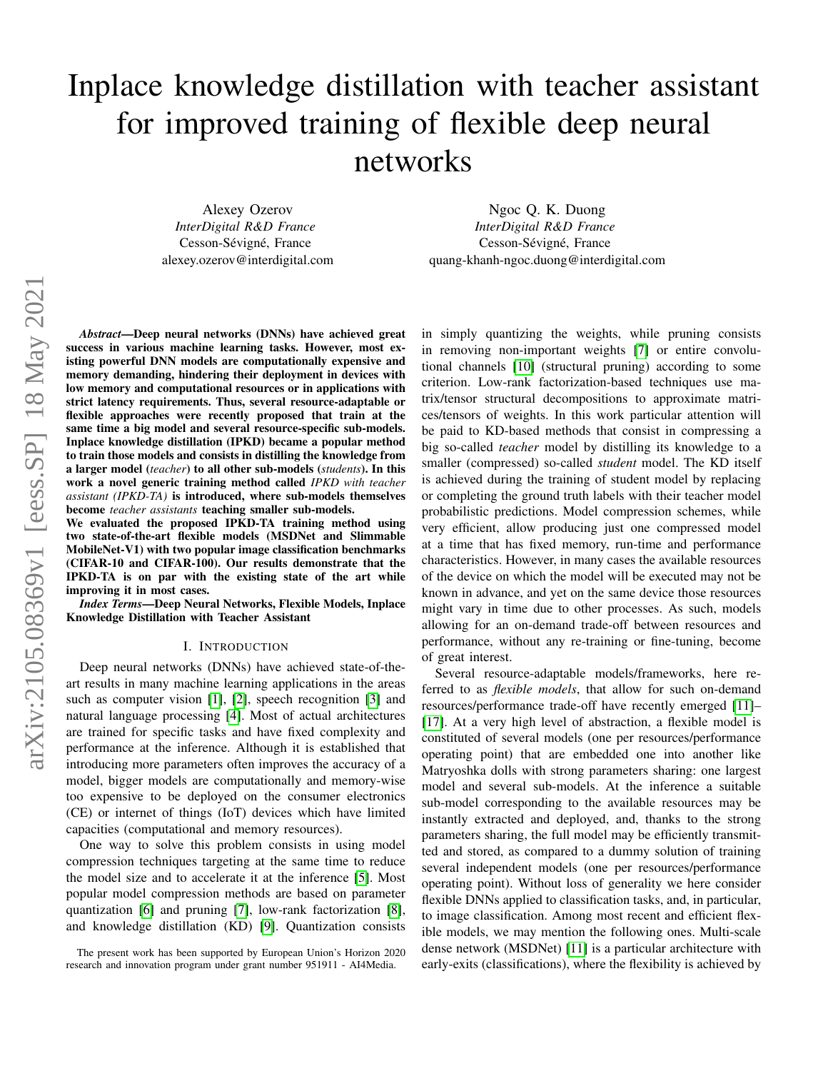# Inplace knowledge distillation with teacher assistant for improved training of flexible deep neural networks

Alexey Ozerov *InterDigital R&D France* Cesson-Sévigné, France alexey.ozerov@interdigital.com

Ngoc Q. K. Duong *InterDigital R&D France* Cesson-Sévigné, France quang-khanh-ngoc.duong@interdigital.com

*Abstract*—Deep neural networks (DNNs) have achieved great success in various machine learning tasks. However, most existing powerful DNN models are computationally expensive and memory demanding, hindering their deployment in devices with low memory and computational resources or in applications with strict latency requirements. Thus, several resource-adaptable or flexible approaches were recently proposed that train at the same time a big model and several resource-specific sub-models. Inplace knowledge distillation (IPKD) became a popular method to train those models and consists in distilling the knowledge from a larger model (*teacher*) to all other sub-models (*students*). In this work a novel generic training method called *IPKD with teacher assistant (IPKD-TA)* is introduced, where sub-models themselves become *teacher assistants* teaching smaller sub-models.

We evaluated the proposed IPKD-TA training method using two state-of-the-art flexible models (MSDNet and Slimmable MobileNet-V1) with two popular image classification benchmarks (CIFAR-10 and CIFAR-100). Our results demonstrate that the IPKD-TA is on par with the existing state of the art while improving it in most cases.

*Index Terms*—Deep Neural Networks, Flexible Models, Inplace Knowledge Distillation with Teacher Assistant

# I. INTRODUCTION

Deep neural networks (DNNs) have achieved state-of-theart results in many machine learning applications in the areas such as computer vision [\[1\]](#page-4-0), [\[2\]](#page-4-1), speech recognition [\[3\]](#page-4-2) and natural language processing [\[4\]](#page-4-3). Most of actual architectures are trained for specific tasks and have fixed complexity and performance at the inference. Although it is established that introducing more parameters often improves the accuracy of a model, bigger models are computationally and memory-wise too expensive to be deployed on the consumer electronics (CE) or internet of things (IoT) devices which have limited capacities (computational and memory resources).

One way to solve this problem consists in using model compression techniques targeting at the same time to reduce the model size and to accelerate it at the inference [\[5\]](#page-4-4). Most popular model compression methods are based on parameter quantization [\[6\]](#page-4-5) and pruning [\[7\]](#page-4-6), low-rank factorization [\[8\]](#page-4-7), and knowledge distillation (KD) [\[9\]](#page-4-8). Quantization consists in simply quantizing the weights, while pruning consists in removing non-important weights [\[7\]](#page-4-6) or entire convolutional channels [\[10\]](#page-4-9) (structural pruning) according to some criterion. Low-rank factorization-based techniques use matrix/tensor structural decompositions to approximate matrices/tensors of weights. In this work particular attention will be paid to KD-based methods that consist in compressing a big so-called *teacher* model by distilling its knowledge to a smaller (compressed) so-called *student* model. The KD itself is achieved during the training of student model by replacing or completing the ground truth labels with their teacher model probabilistic predictions. Model compression schemes, while very efficient, allow producing just one compressed model at a time that has fixed memory, run-time and performance characteristics. However, in many cases the available resources of the device on which the model will be executed may not be known in advance, and yet on the same device those resources might vary in time due to other processes. As such, models allowing for an on-demand trade-off between resources and performance, without any re-training or fine-tuning, become of great interest.

Several resource-adaptable models/frameworks, here referred to as *flexible models*, that allow for such on-demand resources/performance trade-off have recently emerged [\[11\]](#page-4-10)– [\[17\]](#page-4-11). At a very high level of abstraction, a flexible model is constituted of several models (one per resources/performance operating point) that are embedded one into another like Matryoshka dolls with strong parameters sharing: one largest model and several sub-models. At the inference a suitable sub-model corresponding to the available resources may be instantly extracted and deployed, and, thanks to the strong parameters sharing, the full model may be efficiently transmitted and stored, as compared to a dummy solution of training several independent models (one per resources/performance operating point). Without loss of generality we here consider flexible DNNs applied to classification tasks, and, in particular, to image classification. Among most recent and efficient flexible models, we may mention the following ones. Multi-scale dense network (MSDNet) [\[11\]](#page-4-10) is a particular architecture with early-exits (classifications), where the flexibility is achieved by

The present work has been supported by European Union's Horizon 2020 research and innovation program under grant number 951911 - AI4Media.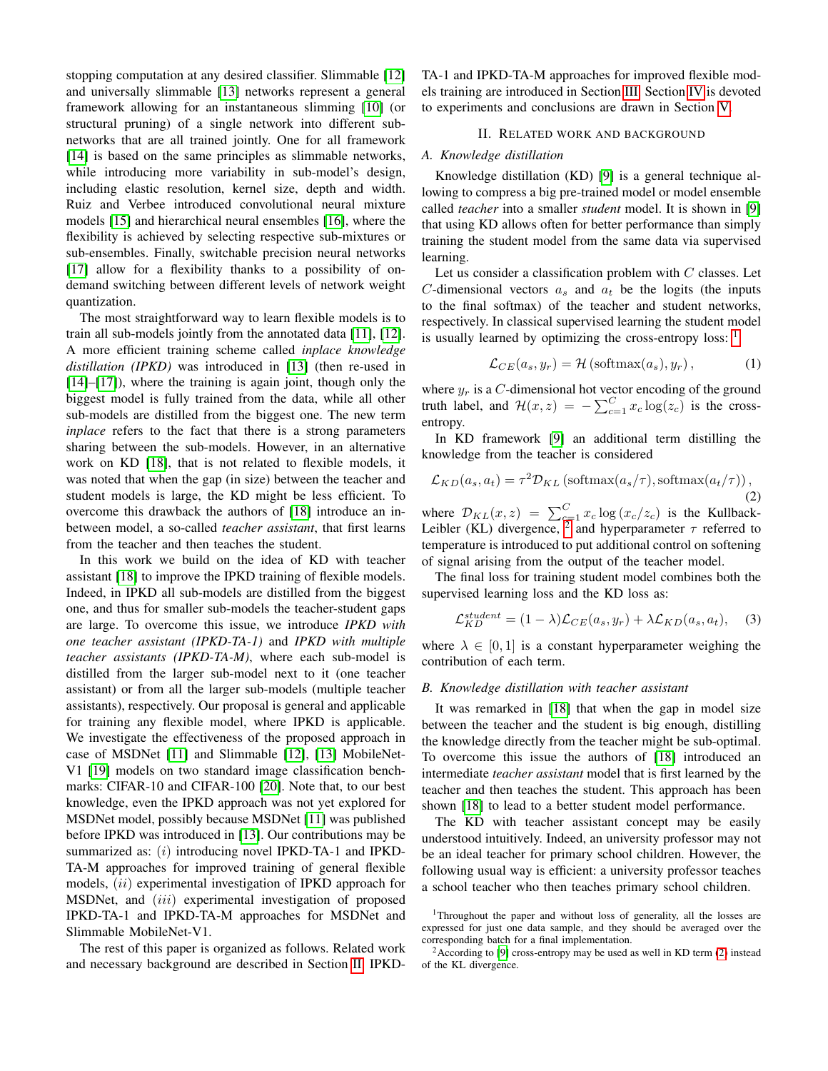stopping computation at any desired classifier. Slimmable [\[12\]](#page-4-12) and universally slimmable [\[13\]](#page-4-13) networks represent a general framework allowing for an instantaneous slimming [\[10\]](#page-4-9) (or structural pruning) of a single network into different subnetworks that are all trained jointly. One for all framework [\[14\]](#page-4-14) is based on the same principles as slimmable networks, while introducing more variability in sub-model's design, including elastic resolution, kernel size, depth and width. Ruiz and Verbee introduced convolutional neural mixture models [\[15\]](#page-4-15) and hierarchical neural ensembles [\[16\]](#page-4-16), where the flexibility is achieved by selecting respective sub-mixtures or sub-ensembles. Finally, switchable precision neural networks [\[17\]](#page-4-11) allow for a flexibility thanks to a possibility of ondemand switching between different levels of network weight quantization.

The most straightforward way to learn flexible models is to train all sub-models jointly from the annotated data [\[11\]](#page-4-10), [\[12\]](#page-4-12). A more efficient training scheme called *inplace knowledge distillation (IPKD)* was introduced in [\[13\]](#page-4-13) (then re-used in [\[14\]](#page-4-14)–[\[17\]](#page-4-11)), where the training is again joint, though only the biggest model is fully trained from the data, while all other sub-models are distilled from the biggest one. The new term *inplace* refers to the fact that there is a strong parameters sharing between the sub-models. However, in an alternative work on KD [\[18\]](#page-4-17), that is not related to flexible models, it was noted that when the gap (in size) between the teacher and student models is large, the KD might be less efficient. To overcome this drawback the authors of [\[18\]](#page-4-17) introduce an inbetween model, a so-called *teacher assistant*, that first learns from the teacher and then teaches the student.

In this work we build on the idea of KD with teacher assistant [\[18\]](#page-4-17) to improve the IPKD training of flexible models. Indeed, in IPKD all sub-models are distilled from the biggest one, and thus for smaller sub-models the teacher-student gaps are large. To overcome this issue, we introduce *IPKD with one teacher assistant (IPKD-TA-1)* and *IPKD with multiple teacher assistants (IPKD-TA-M)*, where each sub-model is distilled from the larger sub-model next to it (one teacher assistant) or from all the larger sub-models (multiple teacher assistants), respectively. Our proposal is general and applicable for training any flexible model, where IPKD is applicable. We investigate the effectiveness of the proposed approach in case of MSDNet [\[11\]](#page-4-10) and Slimmable [\[12\]](#page-4-12), [\[13\]](#page-4-13) MobileNet-V1 [\[19\]](#page-4-18) models on two standard image classification benchmarks: CIFAR-10 and CIFAR-100 [\[20\]](#page-4-19). Note that, to our best knowledge, even the IPKD approach was not yet explored for MSDNet model, possibly because MSDNet [\[11\]](#page-4-10) was published before IPKD was introduced in [\[13\]](#page-4-13). Our contributions may be summarized as: (i) introducing novel IPKD-TA-1 and IPKD-TA-M approaches for improved training of general flexible models, *(ii)* experimental investigation of IPKD approach for MSDNet, and *(iii)* experimental investigation of proposed IPKD-TA-1 and IPKD-TA-M approaches for MSDNet and Slimmable MobileNet-V1.

The rest of this paper is organized as follows. Related work and necessary background are described in Section [II.](#page-1-0) IPKD- TA-1 and IPKD-TA-M approaches for improved flexible models training are introduced in Section [III.](#page-2-0) Section [IV](#page-2-1) is devoted to experiments and conclusions are drawn in Section [V.](#page-4-20)

## II. RELATED WORK AND BACKGROUND

## <span id="page-1-0"></span>*A. Knowledge distillation*

Knowledge distillation (KD) [\[9\]](#page-4-8) is a general technique allowing to compress a big pre-trained model or model ensemble called *teacher* into a smaller *student* model. It is shown in [\[9\]](#page-4-8) that using KD allows often for better performance than simply training the student model from the same data via supervised learning.

Let us consider a classification problem with  $C$  classes. Let C-dimensional vectors  $a_s$  and  $a_t$  be the logits (the inputs to the final softmax) of the teacher and student networks, respectively. In classical supervised learning the student model is usually learned by optimizing the cross-entropy loss:  $<sup>1</sup>$  $<sup>1</sup>$  $<sup>1</sup>$ </sup>

<span id="page-1-4"></span>
$$
\mathcal{L}_{CE}(a_s, y_r) = \mathcal{H}\left(\text{softmax}(a_s), y_r\right),\tag{1}
$$

where  $y_r$  is a C-dimensional hot vector encoding of the ground truth label, and  $\mathcal{H}(x, z) = -\sum_{c=1}^{C} x_c \log(z_c)$  is the crossentropy.

In KD framework [\[9\]](#page-4-8) an additional term distilling the knowledge from the teacher is considered

<span id="page-1-3"></span>
$$
\mathcal{L}_{KD}(a_s, a_t) = \tau^2 \mathcal{D}_{KL} \left( \text{softmax}(a_s/\tau), \text{softmax}(a_t/\tau) \right), \tag{2}
$$

where  $\mathcal{D}_{KL}(x, z) = \sum_{c=1}^{C} x_c \log (x_c/z_c)$  is the Kullback-Leibler (KL) divergence, <sup>[2](#page-1-2)</sup> and hyperparameter  $\tau$  referred to temperature is introduced to put additional control on softening of signal arising from the output of the teacher model.

The final loss for training student model combines both the supervised learning loss and the KD loss as:

$$
\mathcal{L}_{KD}^{student} = (1 - \lambda)\mathcal{L}_{CE}(a_s, y_r) + \lambda \mathcal{L}_{KD}(a_s, a_t), \quad (3)
$$

where  $\lambda \in [0, 1]$  is a constant hyperparameter weighing the contribution of each term.

#### <span id="page-1-5"></span>*B. Knowledge distillation with teacher assistant*

It was remarked in [\[18\]](#page-4-17) that when the gap in model size between the teacher and the student is big enough, distilling the knowledge directly from the teacher might be sub-optimal. To overcome this issue the authors of [\[18\]](#page-4-17) introduced an intermediate *teacher assistant* model that is first learned by the teacher and then teaches the student. This approach has been shown [\[18\]](#page-4-17) to lead to a better student model performance.

The KD with teacher assistant concept may be easily understood intuitively. Indeed, an university professor may not be an ideal teacher for primary school children. However, the following usual way is efficient: a university professor teaches a school teacher who then teaches primary school children.

<span id="page-1-1"></span><sup>1</sup>Throughout the paper and without loss of generality, all the losses are expressed for just one data sample, and they should be averaged over the corresponding batch for a final implementation.

<span id="page-1-2"></span> $2$ According to [\[9\]](#page-4-8) cross-entropy may be used as well in KD term [\(2\)](#page-1-3) instead of the KL divergence.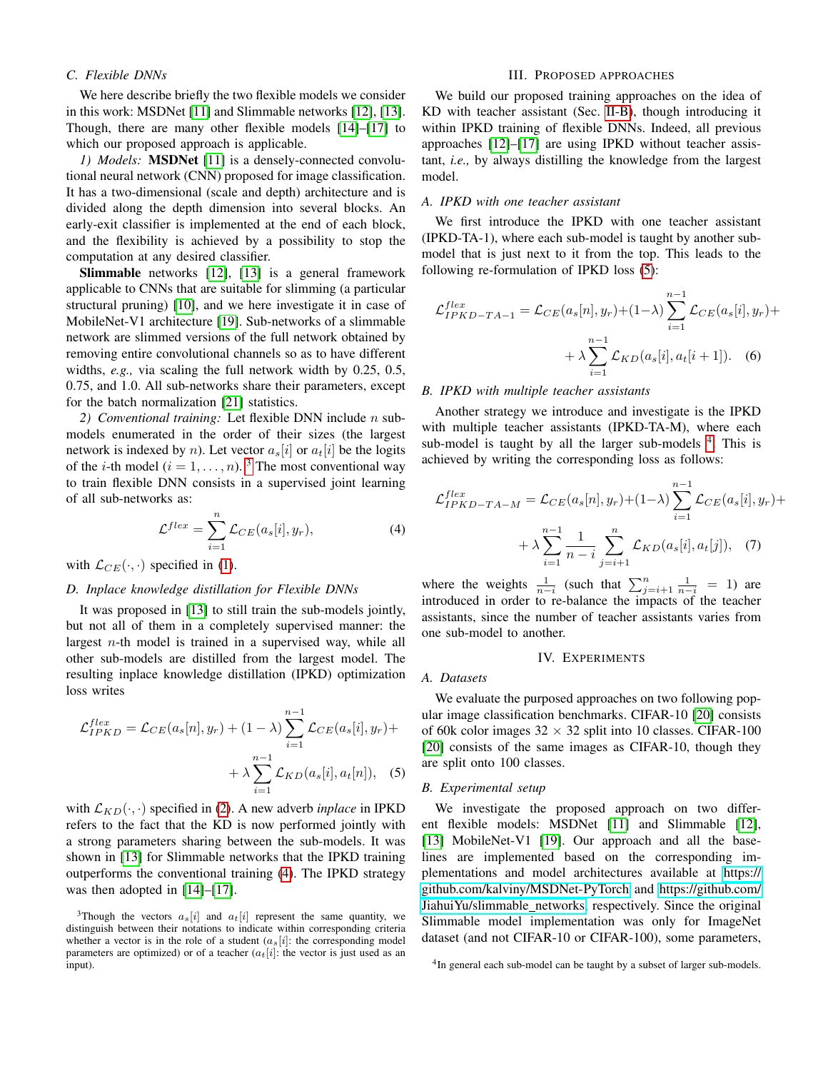# *C. Flexible DNNs*

We here describe briefly the two flexible models we consider in this work: MSDNet [\[11\]](#page-4-10) and Slimmable networks [\[12\]](#page-4-12), [\[13\]](#page-4-13). Though, there are many other flexible models [\[14\]](#page-4-14)–[\[17\]](#page-4-11) to which our proposed approach is applicable.

*1) Models:* MSDNet [\[11\]](#page-4-10) is a densely-connected convolutional neural network (CNN) proposed for image classification. It has a two-dimensional (scale and depth) architecture and is divided along the depth dimension into several blocks. An early-exit classifier is implemented at the end of each block, and the flexibility is achieved by a possibility to stop the computation at any desired classifier.

Slimmable networks [\[12\]](#page-4-12), [\[13\]](#page-4-13) is a general framework applicable to CNNs that are suitable for slimming (a particular structural pruning) [\[10\]](#page-4-9), and we here investigate it in case of MobileNet-V1 architecture [\[19\]](#page-4-18). Sub-networks of a slimmable network are slimmed versions of the full network obtained by removing entire convolutional channels so as to have different widths, *e.g.,* via scaling the full network width by 0.25, 0.5, 0.75, and 1.0. All sub-networks share their parameters, except for the batch normalization [\[21\]](#page-4-21) statistics.

*2) Conventional training:* Let flexible DNN include n submodels enumerated in the order of their sizes (the largest network is indexed by n). Let vector  $a_s[i]$  or  $a_t[i]$  be the logits of the *i*-th model ( $i = 1, ..., n$ ). <sup>[3](#page-2-2)</sup> The most conventional way to train flexible DNN consists in a supervised joint learning of all sub-networks as:

<span id="page-2-3"></span>
$$
\mathcal{L}^{flex} = \sum_{i=1}^{n} \mathcal{L}_{CE}(a_s[i], y_r), \tag{4}
$$

with  $\mathcal{L}_{CE}(\cdot, \cdot)$  specified in [\(1\)](#page-1-4).

## *D. Inplace knowledge distillation for Flexible DNNs*

It was proposed in [\[13\]](#page-4-13) to still train the sub-models jointly, but not all of them in a completely supervised manner: the largest  $n$ -th model is trained in a supervised way, while all other sub-models are distilled from the largest model. The resulting inplace knowledge distillation (IPKD) optimization loss writes

$$
\mathcal{L}_{IPKD}^{flex} = \mathcal{L}_{CE}(a_s[n], y_r) + (1 - \lambda) \sum_{i=1}^{n-1} \mathcal{L}_{CE}(a_s[i], y_r) + \lambda \sum_{i=1}^{n-1} \mathcal{L}_{KD}(a_s[i], a_t[n]), \quad (5)
$$

with  $\mathcal{L}_{KD}(\cdot, \cdot)$  specified in [\(2\)](#page-1-3). A new adverb *inplace* in IPKD refers to the fact that the KD is now performed jointly with a strong parameters sharing between the sub-models. It was shown in [\[13\]](#page-4-13) for Slimmable networks that the IPKD training outperforms the conventional training [\(4\)](#page-2-3). The IPKD strategy was then adopted in [\[14\]](#page-4-14)–[\[17\]](#page-4-11).

# III. PROPOSED APPROACHES

<span id="page-2-0"></span>We build our proposed training approaches on the idea of KD with teacher assistant (Sec. [II-B\)](#page-1-5), though introducing it within IPKD training of flexible DNNs. Indeed, all previous approaches [\[12\]](#page-4-12)–[\[17\]](#page-4-11) are using IPKD without teacher assistant, *i.e.,* by always distilling the knowledge from the largest model.

## *A. IPKD with one teacher assistant*

We first introduce the IPKD with one teacher assistant (IPKD-TA-1), where each sub-model is taught by another submodel that is just next to it from the top. This leads to the following re-formulation of IPKD loss [\(5\)](#page-2-4):

<span id="page-2-6"></span>
$$
\mathcal{L}_{IPKD-TA-1}^{flex} = \mathcal{L}_{CE}(a_s[n], y_r) + (1-\lambda) \sum_{i=1}^{n-1} \mathcal{L}_{CE}(a_s[i], y_r) + \lambda \sum_{i=1}^{n-1} \mathcal{L}_{KD}(a_s[i], a_t[i+1]).
$$
 (6)

### *B. IPKD with multiple teacher assistants*

Another strategy we introduce and investigate is the IPKD with multiple teacher assistants (IPKD-TA-M), where each sub-model is taught by all the larger sub-models <sup>[4](#page-2-5)</sup>. This is achieved by writing the corresponding loss as follows:

$$
\mathcal{L}_{IPKD-TA-M}^{flex} = \mathcal{L}_{CE}(a_s[n], y_r) + (1-\lambda) \sum_{i=1}^{n-1} \mathcal{L}_{CE}(a_s[i], y_r) + \lambda \sum_{i=1}^{n-1} \frac{1}{n-i} \sum_{j=i+1}^{n} \mathcal{L}_{KD}(a_s[i], a_t[j]), \quad (7)
$$

where the weights  $\frac{1}{n-i}$  (such that  $\sum_{j=i+1}^{n} \frac{1}{n-i} = 1$ ) are introduced in order to re-balance the impacts of the teacher assistants, since the number of teacher assistants varies from one sub-model to another.

#### <span id="page-2-7"></span>IV. EXPERIMENTS

### <span id="page-2-1"></span>*A. Datasets*

We evaluate the purposed approaches on two following popular image classification benchmarks. CIFAR-10 [\[20\]](#page-4-19) consists of 60k color images  $32 \times 32$  split into 10 classes. CIFAR-100 [\[20\]](#page-4-19) consists of the same images as CIFAR-10, though they are split onto 100 classes.

#### <span id="page-2-4"></span>*B. Experimental setup*

We investigate the proposed approach on two different flexible models: MSDNet [\[11\]](#page-4-10) and Slimmable [\[12\]](#page-4-12), [\[13\]](#page-4-13) MobileNet-V1 [\[19\]](#page-4-18). Our approach and all the baselines are implemented based on the corresponding implementations and model architectures available at [https://](https://github.com/kalviny/MSDNet-PyTorch) [github.com/kalviny/MSDNet-PyTorch](https://github.com/kalviny/MSDNet-PyTorch) and [https://github.com/](https://github.com/JiahuiYu/slimmable_networks) [JiahuiYu/slimmable](https://github.com/JiahuiYu/slimmable_networks)\_networks, respectively. Since the original Slimmable model implementation was only for ImageNet dataset (and not CIFAR-10 or CIFAR-100), some parameters,

<span id="page-2-2"></span><sup>&</sup>lt;sup>3</sup>Though the vectors  $a_s[i]$  and  $a_t[i]$  represent the same quantity, we distinguish between their notations to indicate within corresponding criteria whether a vector is in the role of a student  $(a_s[i])$ : the corresponding model parameters are optimized) or of a teacher  $(a_t[i])$ : the vector is just used as an input).

<span id="page-2-5"></span><sup>&</sup>lt;sup>4</sup>In general each sub-model can be taught by a subset of larger sub-models.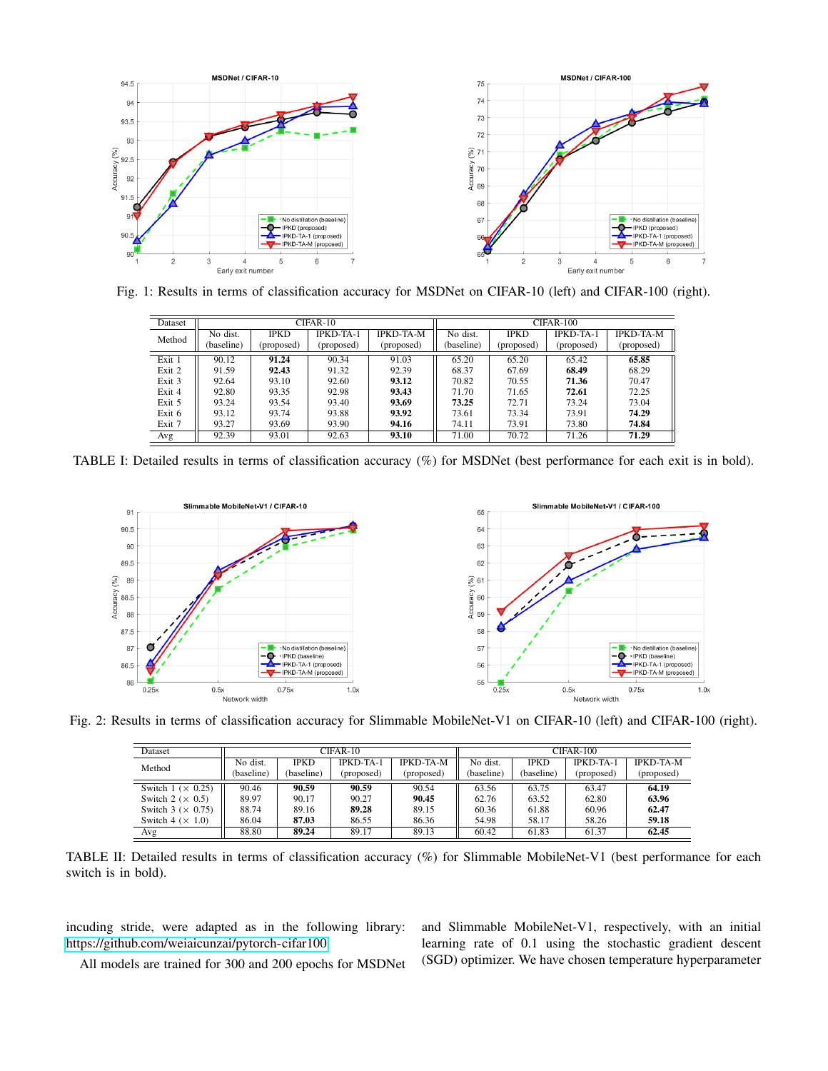<span id="page-3-0"></span>

<span id="page-3-1"></span>Fig. 1: Results in terms of classification accuracy for MSDNet on CIFAR-10 (left) and CIFAR-100 (right).

| Dataset |            |             | CIFAR-10   |                  | $CIFAR-100$ |             |            |                  |  |
|---------|------------|-------------|------------|------------------|-------------|-------------|------------|------------------|--|
|         |            |             |            |                  |             |             |            |                  |  |
| Method  | No dist.   | <b>IPKD</b> | IPKD-TA-1  | <b>IPKD-TA-M</b> | No dist.    | <b>IPKD</b> | IPKD-TA-1  | <b>IPKD-TA-M</b> |  |
|         | (baseline) | (proposed)  | (proposed) | (proposed)       | (baseline)  | (proposed)  | (proposed) | (proposed)       |  |
| Exit 1  | 90.12      | 91.24       | 90.34      | 91.03            | 65.20       | 65.20       | 65.42      | 65.85            |  |
| Exit 2  | 91.59      | 92.43       | 91.32      | 92.39            | 68.37       | 67.69       | 68.49      | 68.29            |  |
| Exit 3  | 92.64      | 93.10       | 92.60      | 93.12            | 70.82       | 70.55       | 71.36      | 70.47            |  |
| Exit 4  | 92.80      | 93.35       | 92.98      | 93.43            | 71.70       | 71.65       | 72.61      | 72.25            |  |
| Exit 5  | 93.24      | 93.54       | 93.40      | 93.69            | 73.25       | 72.71       | 73.24      | 73.04            |  |
| Exit 6  | 93.12      | 93.74       | 93.88      | 93.92            | 73.61       | 73.34       | 73.91      | 74.29            |  |
| Exit 7  | 93.27      | 93.69       | 93.90      | 94.16            | 74.11       | 73.91       | 73.80      | 74.84            |  |
| Avg     | 92.39      | 93.01       | 92.63      | 93.10            | 71.00       | 70.72       | 71.26      | 71.29            |  |

TABLE I: Detailed results in terms of classification accuracy (%) for MSDNet (best performance for each exit is in bold).

<span id="page-3-2"></span>

<span id="page-3-3"></span>Fig. 2: Results in terms of classification accuracy for Slimmable MobileNet-V1 on CIFAR-10 (left) and CIFAR-100 (right).

| Dataset                   |            |             | CIFAR-10         |                  | $CIFAR-100$ |             |                  |                  |
|---------------------------|------------|-------------|------------------|------------------|-------------|-------------|------------------|------------------|
| Method                    | No dist.   | <b>IPKD</b> | <b>IPKD-TA-1</b> | <b>IPKD-TA-M</b> | No dist.    | <b>IPKD</b> | <b>IPKD-TA-1</b> | <b>IPKD-TA-M</b> |
|                           | (baseline) | (baseline)  | (proposed)       | (proposed)       | (baseline)  | (baseline)  | (proposed)       | (proposed)       |
| Switch $1 \times 0.25$    | 90.46      | 90.59       | 90.59            | 90.54            | 63.56       | 63.75       | 63.47            | 64.19            |
| Switch 2 ( $\times$ 0.5)  | 89.97      | 90.17       | 90.27            | 90.45            | 62.76       | 63.52       | 62.80            | 63.96            |
| Switch 3 ( $\times$ 0.75) | 88.74      | 89.16       | 89.28            | 89.15            | 60.36       | 61.88       | 60.96            | 62.47            |
| Switch $4 \times 1.0$     | 86.04      | 87.03       | 86.55            | 86.36            | 54.98       | 58.17       | 58.26            | 59.18            |
| Avg                       | 88.80      | 89.24       | 89.17            | 89.13            | 60.42       | 61.83       | 61.37            | 62.45            |

TABLE II: Detailed results in terms of classification accuracy (%) for Slimmable MobileNet-V1 (best performance for each switch is in bold).

incuding stride, were adapted as in the following library: [https://github.com/weiaicunzai/pytorch-cifar100.](https://github.com/weiaicunzai/pytorch-cifar100)

All models are trained for 300 and 200 epochs for MSDNet

and Slimmable MobileNet-V1, respectively, with an initial learning rate of 0.1 using the stochastic gradient descent (SGD) optimizer. We have chosen temperature hyperparameter